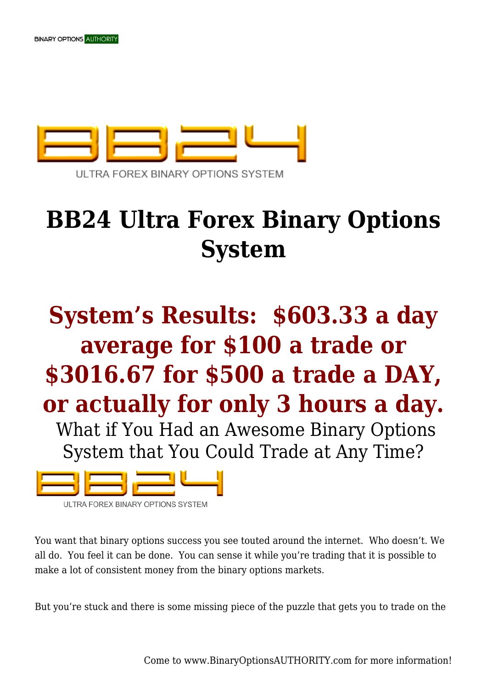

## **BB24 Ultra Forex Binary Options System**

## **System's Results: \$603.33 a day average for \$100 a trade or \$3016.67 for \$500 a trade a DAY, or actually for only 3 hours a day.**

 What if You Had an Awesome Binary Options System that You Could Trade at Any Time?



ULTRA FOREX BINARY OPTIONS SYSTEM

You want that binary options success you see touted around the internet. Who doesn't. We all do. You feel it can be done. You can sense it while you're trading that it is possible to make a lot of consistent money from the binary options markets.

But you're stuck and there is some missing piece of the puzzle that gets you to trade on the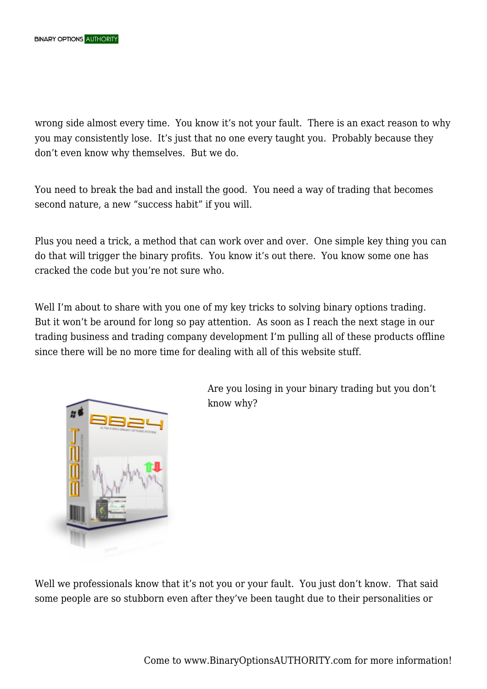wrong side almost every time. You know it's not your fault. There is an exact reason to why you may consistently lose. It's just that no one every taught you. Probably because they don't even know why themselves. But we do.

You need to break the bad and install the good. You need a way of trading that becomes second nature, a new "success habit" if you will.

Plus you need a trick, a method that can work over and over. One simple key thing you can do that will trigger the binary profits. You know it's out there. You know some one has cracked the code but you're not sure who.

Well I'm about to share with you one of my key tricks to solving binary options trading. But it won't be around for long so pay attention. As soon as I reach the next stage in our trading business and trading company development I'm pulling all of these products offline since there will be no more time for dealing with all of this website stuff.



Are you losing in your binary trading but you don't know why?

Well we professionals know that it's not you or your fault. You just don't know. That said some people are so stubborn even after they've been taught due to their personalities or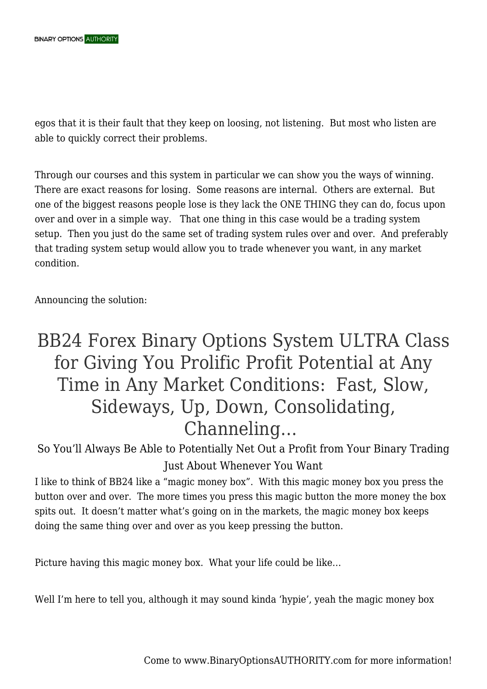egos that it is their fault that they keep on loosing, not listening. But most who listen are able to quickly correct their problems.

Through our courses and this system in particular we can show you the ways of winning. There are exact reasons for losing. Some reasons are internal. Others are external. But one of the biggest reasons people lose is they lack the ONE THING they can do, focus upon over and over in a simple way. That one thing in this case would be a trading system setup. Then you just do the same set of trading system rules over and over. And preferably that trading system setup would allow you to trade whenever you want, in any market condition.

Announcing the solution:

## BB24 Forex Binary Options System ULTRA Class for Giving You Prolific Profit Potential at Any Time in Any Market Conditions: Fast, Slow, Sideways, Up, Down, Consolidating, Channeling…

So You'll Always Be Able to Potentially Net Out a Profit from Your Binary Trading Just About Whenever You Want

I like to think of BB24 like a "magic money box". With this magic money box you press the button over and over. The more times you press this magic button the more money the box spits out. It doesn't matter what's going on in the markets, the magic money box keeps doing the same thing over and over as you keep pressing the button.

Picture having this magic money box. What your life could be like…

Well I'm here to tell you, although it may sound kinda 'hypie', yeah the magic money box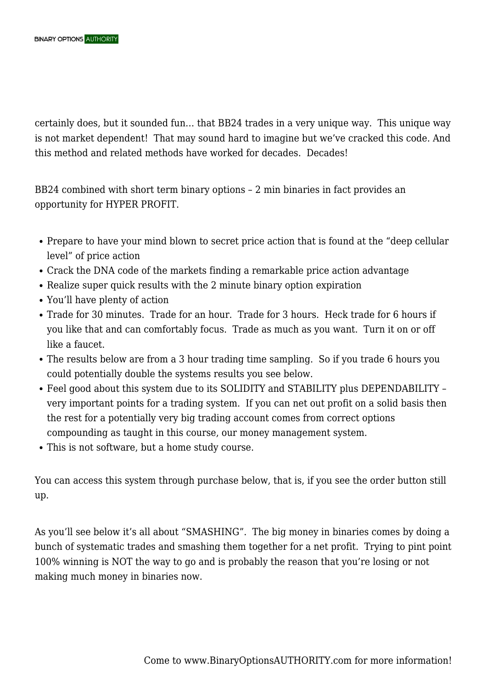certainly does, but it sounded fun… that BB24 trades in a very unique way. This unique way is not market dependent! That may sound hard to imagine but we've cracked this code. And this method and related methods have worked for decades. Decades!

BB24 combined with short term binary options – 2 min binaries in fact provides an opportunity for HYPER PROFIT.

- Prepare to have your mind blown to secret price action that is found at the "deep cellular level" of price action
- Crack the DNA code of the markets finding a remarkable price action advantage
- Realize super quick results with the 2 minute binary option expiration
- You'll have plenty of action
- Trade for 30 minutes. Trade for an hour. Trade for 3 hours. Heck trade for 6 hours if you like that and can comfortably focus. Trade as much as you want. Turn it on or off like a faucet.
- The results below are from a 3 hour trading time sampling. So if you trade 6 hours you could potentially double the systems results you see below.
- Feel good about this system due to its SOLIDITY and STABILITY plus DEPENDABILITY very important points for a trading system. If you can net out profit on a solid basis then the rest for a potentially very big trading account comes from correct options compounding as taught in this course, our money management system.
- This is not software, but a home study course.

You can access this system through purchase below, that is, if you see the order button still up.

As you'll see below it's all about "SMASHING". The big money in binaries comes by doing a bunch of systematic trades and smashing them together for a net profit. Trying to pint point 100% winning is NOT the way to go and is probably the reason that you're losing or not making much money in binaries now.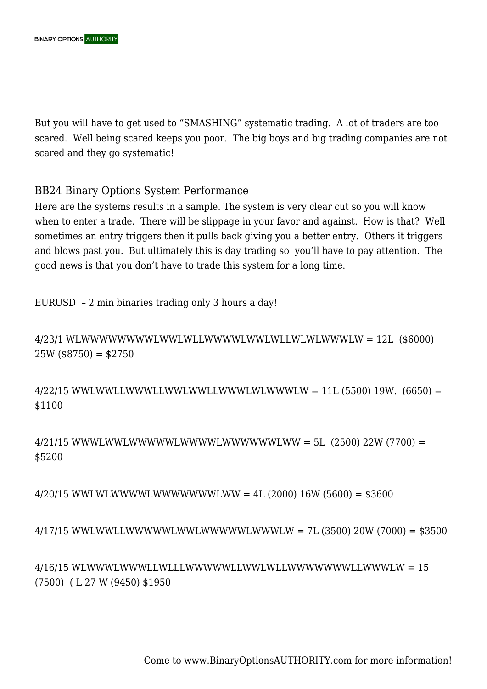But you will have to get used to "SMASHING" systematic trading. A lot of traders are too scared. Well being scared keeps you poor. The big boys and big trading companies are not scared and they go systematic!

## BB24 Binary Options System Performance

Here are the systems results in a sample. The system is very clear cut so you will know when to enter a trade. There will be slippage in your favor and against. How is that? Well sometimes an entry triggers then it pulls back giving you a better entry. Others it triggers and blows past you. But ultimately this is day trading so you'll have to pay attention. The good news is that you don't have to trade this system for a long time.

EURUSD – 2 min binaries trading only 3 hours a day!

4/23/1 WLWWWWWWWWLWWLWLLWWWWLWWLWLLWLWLWWWLW = 12L (\$6000)  $25W$  (\$8750) = \$2750

 $4/22/15$  WWLWWLLWWWLLWWLWWLLWWWLWLWWWLW = 11L (5500) 19W. (6650) = \$1100

4/21/15 WWWLWWLWWWWWLWWWWLWWWWWWLWW = 5L (2500) 22W (7700) = \$5200

4/20/15 WWLWLWWWWLWWWWWWWLWW = 4L (2000) 16W (5600) = \$3600

4/17/15 WWLWWLLWWWWWLWWLWWWWWLWWWLW = 7L (3500) 20W (7000) = \$3500

4/16/15 WLWWWLWWWLLWLLLWWWWWLLWWLWLLWWWWWWWLLWWWLW = 15 (7500) ( L 27 W (9450) \$1950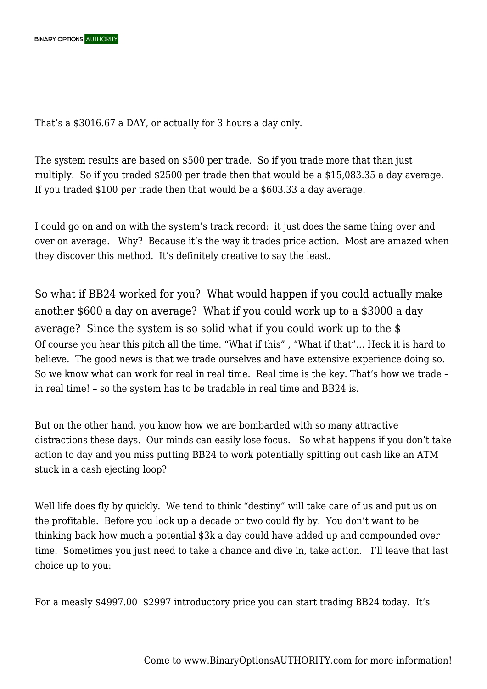That's a \$3016.67 a DAY, or actually for 3 hours a day only.

The system results are based on \$500 per trade. So if you trade more that than just multiply. So if you traded \$2500 per trade then that would be a \$15,083.35 a day average. If you traded \$100 per trade then that would be a \$603.33 a day average.

I could go on and on with the system's track record: it just does the same thing over and over on average. Why? Because it's the way it trades price action. Most are amazed when they discover this method. It's definitely creative to say the least.

So what if BB24 worked for you? What would happen if you could actually make another \$600 a day on average? What if you could work up to a \$3000 a day average? Since the system is so solid what if you could work up to the \$ Of course you hear this pitch all the time. "What if this" , "What if that"… Heck it is hard to believe. The good news is that we trade ourselves and have extensive experience doing so. So we know what can work for real in real time. Real time is the key. That's how we trade – in real time! – so the system has to be tradable in real time and BB24 is.

But on the other hand, you know how we are bombarded with so many attractive distractions these days. Our minds can easily lose focus. So what happens if you don't take action to day and you miss putting BB24 to work potentially spitting out cash like an ATM stuck in a cash ejecting loop?

Well life does fly by quickly. We tend to think "destiny" will take care of us and put us on the profitable. Before you look up a decade or two could fly by. You don't want to be thinking back how much a potential \$3k a day could have added up and compounded over time. Sometimes you just need to take a chance and dive in, take action. I'll leave that last choice up to you:

For a measly \$4997.00 \$2997 introductory price you can start trading BB24 today. It's